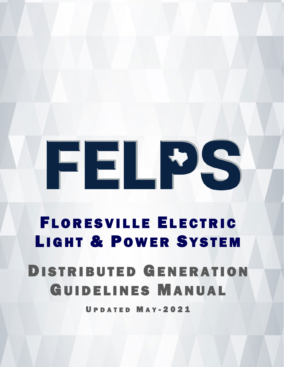# ELPS

### FLORESVILLE ELECTRIC LIGHT & POWER SYSTEM

### DISTRIBUTED GENERATION GUIDELINES MANUAL

**ATED MAY-2021**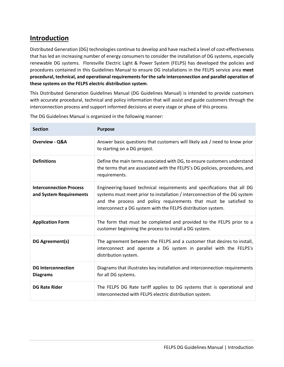#### **Introduction**

Distributed Generation (DG) technologies continue to develop and have reached a level of cost-effectiveness that has led an increasing number of energy consumers to consider the installation of DG systems, especially renewable DG systems. Floresville Electric Light & Power System (FELPS) has developed the policies and procedures contained in this Guidelines Manual to ensure DG installations in the FELPS service area **meet procedural, technical, and operational requirements for the safe interconnection and parallel operation of these systems on the FELPS electric distribution system**.

This Distributed Generation Guidelines Manual (DG Guidelines Manual) is intended to provide customers with accurate procedural, technical and policy information that will assist and guide customers through the interconnection process and support informed decisions at every stage or phase of this process.

| <b>Section</b>                                            | <b>Purpose</b>                                                                                                                                                                                                                                                                             |
|-----------------------------------------------------------|--------------------------------------------------------------------------------------------------------------------------------------------------------------------------------------------------------------------------------------------------------------------------------------------|
| <b>Overview - Q&amp;A</b>                                 | Answer basic questions that customers will likely ask / need to know prior<br>to starting on a DG project.                                                                                                                                                                                 |
| <b>Definitions</b>                                        | Define the main terms associated with DG, to ensure customers understand<br>the terms that are associated with the FELPS's DG policies, procedures, and<br>requirements.                                                                                                                   |
| <b>Interconnection Process</b><br>and System Requirements | Engineering-based technical requirements and specifications that all DG<br>systems must meet prior to installation / interconnection of the DG system<br>and the process and policy requirements that must be satisfied to<br>interconnect a DG system with the FELPS distribution system. |
| <b>Application Form</b>                                   | The form that must be completed and provided to the FELPS prior to a<br>customer beginning the process to install a DG system.                                                                                                                                                             |
| DG Agreement(s)                                           | The agreement between the FELPS and a customer that desires to install,<br>interconnect and operate a DG system in parallel with the FELPS's<br>distribution system.                                                                                                                       |
| <b>DG Interconnection</b><br><b>Diagrams</b>              | Diagrams that illustrates key installation and interconnection requirements<br>for all DG systems.                                                                                                                                                                                         |
| <b>DG Rate Rider</b>                                      | The FELPS DG Rate tariff applies to DG systems that is operational and<br>interconnected with FELPS electric distribution system.                                                                                                                                                          |

The DG Guidelines Manual is organized in the following manner: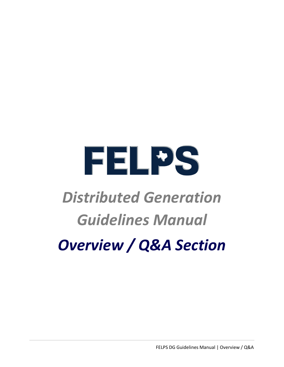

### *Distributed Generation Guidelines Manual Overview / Q&A Section*

FELPS DG Guidelines Manual | Overview / Q&A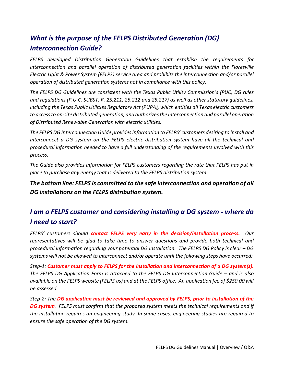#### *What is the purpose of the FELPS Distributed Generation (DG) Interconnection Guide?*

*FELPS developed Distribution Generation Guidelines that establish the requirements for interconnection and parallel operation of distributed generation facilities within the Floresville Electric Light & Power System (FELPS) service area and prohibits the interconnection and/or parallel operation of distributed generation systems not in compliance with this policy.* 

*The FELPS DG Guidelines are consistent with the Texas Public Utility Commission's (PUC) DG rules and regulations (P.U.C. SUBST. R. 25.211, 25.212 and 25.217) as well as other statutory guidelines, including the Texas Public Utilities Regulatory Act (PURA), which entitles all Texas electric customers to access to on-site distributed generation, and authorizes the interconnection and parallel operation of Distributed Renewable Generation with electric utilities.*

*The FELPS DG Interconnection Guide provides information to FELPS' customers desiring to install and interconnect a DG system on the FELPS electric distribution system have all the technical and procedural information needed to have a full understanding of the requirements involved with this process.*

*The Guide also provides information for FELPS customers regarding the rate that FELPS has put in place to purchase any energy that is delivered to the FELPS distribution system.* 

*The bottom line: FELPS is committed to the safe interconnection and operation of all DG installations on the FELPS distribution system.*

#### *I am a FELPS customer and considering installing a DG system - where do I need to start?*

*FELPS' customers should contact FELPS very early in the decision/installation process. Our representatives will be glad to take time to answer questions and provide both technical and procedural information regarding your potential DG installation. The FELPS DG Policy is clear – DG systems will not be allowed to interconnect and/or operate until the following steps have occurred:*

*Step-1: Customer must apply to FELPS for the installation and interconnection of a DG system(s). The FELPS DG Application Form is attached to the FELPS DG Interconnection Guide – and is also available on the FELPS website (FELPS.us) and at the FELPS office. An application fee of \$250.00 will be assessed.*

*Step-2: The DG application must be reviewed and approved by FELPS, prior to installation of the DG system. FELPS must confirm that the proposed system meets the technical requirements and if the installation requires an engineering study. In some cases, engineering studies are required to ensure the safe operation of the DG system.*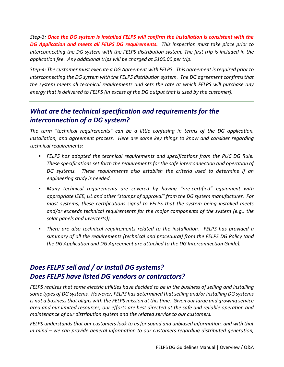*Step-3: Once the DG system is installed FELPS will confirm the installation is consistent with the DG Application and meets all FELPS DG requirements. This inspection must take place prior to interconnecting the DG system with the FELPS distribution system. The first trip is included in the application fee. Any additional trips will be charged at \$100.00 per trip.*

*Step-4: The customer must execute a DG Agreement with FELPS. This agreement is required prior to interconnecting the DG system with the FELPS distribution system. The DG agreement confirms that the system meets all technical requirements and sets the rate at which FELPS will purchase any energy that is delivered to FELPS (in excess of the DG output that is used by the customer).*

#### *What are the technical specification and requirements for the interconnection of a DG system?*

*The term "technical requirements" can be a little confusing in terms of the DG application, installation, and agreement process. Here are some key things to know and consider regarding technical requirements:*

- *FELPS has adopted the technical requirements and specifications from the PUC DG Rule. These specifications set forth the requirements for the safe interconnection and operation of DG systems. These requirements also establish the criteria used to determine if an engineering study is needed.*
- *Many technical requirements are covered by having "pre-certified" equipment with appropriate IEEE, UL and other "stamps of approval" from the DG system manufacturer. For most systems, these certifications signal to FELPS that the system being installed meets and/or exceeds technical requirements for the major components of the system (e.g., the solar panels and inverter(s)).*
- *There are also technical requirements related to the installation. FELPS has provided a summary of all the requirements (technical and procedural) from the FELPS DG Policy (and the DG Application and DG Agreement are attached to the DG Interconnection Guide).*

#### *Does FELPS sell and / or install DG systems? Does FELPS have listed DG vendors or contractors?*

*FELPS realizes that some electric utilities have decided to be in the business of selling and installing some types of DG systems. However, FELPS has determined that selling and/or installing DG systems is not a business that aligns with the FELPS mission at this time. Given our large and growing service area and our limited resources, our efforts are best directed at the safe and reliable operation and maintenance of our distribution system and the related service to our customers.*

*FELPS understands that our customers look to us for sound and unbiased information, and with that in mind – we can provide general information to our customers regarding distributed generation,*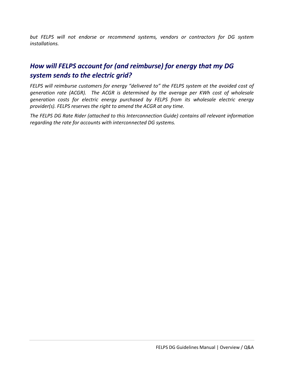*but FELPS will not endorse or recommend systems, vendors or contractors for DG system installations.*

#### *How will FELPS account for (and reimburse) for energy that my DG system sends to the electric grid?*

*FELPS will reimburse customers for energy "delivered to" the FELPS system at the avoided cost of generation rate (ACGR). The ACGR is determined by the average per KWh cost of wholesale generation costs for electric energy purchased by FELPS from its wholesale electric energy provider(s). FELPS reserves the right to amend the ACGR at any time.* 

*The FELPS DG Rate Rider (attached to this Interconnection Guide) contains all relevant information regarding the rate for accounts with interconnected DG systems.*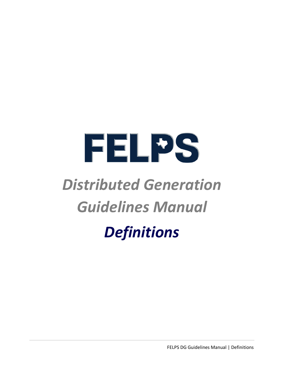## FELPS

### *Distributed Generation Guidelines Manual*

### *Definitions*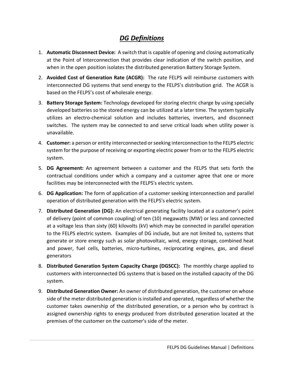#### *DG Definitions*

- 1. **Automatic Disconnect Device:** A switch that is capable of opening and closing automatically at the Point of Interconnection that provides clear indication of the switch position, and when in the open position isolates the distributed generation Battery Storage System.
- 2. **Avoided Cost of Generation Rate (ACGR):** The rate FELPS will reimburse customers with interconnected DG systems that send energy to the FELPS's distribution grid. The ACGR is based on the FELPS's cost of wholesale energy.
- 3. **Battery Storage System:** Technology developed for storing electric charge by using specially developed batteries so the stored energy can be utilized at a later time. The system typically utilizes an electro-chemical solution and includes batteries, inverters, and disconnect switches. The system may be connected to and serve critical loads when utility power is unavailable.
- 4. **Customer:** a person or entity interconnected or seeking interconnection to the FELPS electric system for the purpose of receiving or exporting electric power from or to the FELPS electric system.
- 5. **DG Agreement:** An agreement between a customer and the FELPS that sets forth the contractual conditions under which a company and a customer agree that one or more facilities may be interconnected with the FELPS's electric system.
- 6. **DG Application:** The form of application of a customer seeking interconnection and parallel operation of distributed generation with the FELPS's electric system.
- 7. **Distributed Generation (DG):** An electrical generating facility located at a customer's point of delivery (point of common coupling) of ten (10) megawatts (MW) or less and connected at a voltage less than sixty (60) kilovolts (kV) which may be connected in parallel operation to the FELPS electric system. Examples of DG include, but are not limited to, systems that generate or store energy such as solar photovoltaic, wind, energy storage, combined heat and power, fuel cells, batteries, micro-turbines, reciprocating engines, gas, and diesel generators
- 8. **Distributed Generation System Capacity Charge (DGSCC):** The monthly charge applied to customers with interconnected DG systems that is based on the installed capacity of the DG system.
- 9. **Distributed Generation Owner:** An owner of distributed generation, the customer on whose side of the meter distributed generation is installed and operated, regardless of whether the customer takes ownership of the distributed generation, or a person who by contract is assigned ownership rights to energy produced from distributed generation located at the premises of the customer on the customer's side of the meter.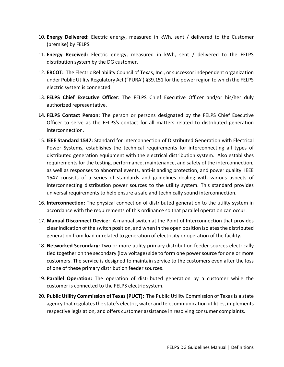- 10. **Energy Delivered:** Electric energy, measured in kWh, sent / delivered to the Customer (premise) by FELPS.
- 11. **Energy Received:** Electric energy, measured in kWh, sent / delivered to the FELPS distribution system by the DG customer.
- 12. **ERCOT:** The Electric Reliability Council of Texas, Inc., or successor independent organization under Public Utility Regulatory Act ("PURA') §39.151 for the power region to which the FELPS electric system is connected.
- 13. **FELPS Chief Executive Officer:** The FELPS Chief Executive Officer and/or his/her duly authorized representative.
- **14. FELPS Contact Person:** The person or persons designated by the FELPS Chief Executive Officer to serve as the FELPS's contact for all matters related to distributed generation interconnection.
- 15. **IEEE Standard 1547:** Standard for Interconnection of Distributed Generation with Electrical Power Systems, establishes the technical requirements for interconnecting all types of distributed generation equipment with the electrical distribution system. Also establishes requirements for the testing, performance, maintenance, and safety of the interconnection, as well as responses to abnormal events, anti-islanding protection, and power quality. IEEE 1547 consists of a series of standards and guidelines dealing with various aspects of interconnecting distribution power sources to the utility system. This standard provides universal requirements to help ensure a safe and technically sound interconnection.
- 16. **Interconnection:** The physical connection of distributed generation to the utility system in accordance with the requirements of this ordinance so that parallel operation can occur.
- 17. **Manual Disconnect Device:** A manual switch at the Point of Interconnection that provides clear indication of the switch position, and when in the open position isolates the distributed generation from load unrelated to generation of electricity or operation of the facility.
- 18. **Networked Secondary:** Two or more utility primary distribution feeder sources electrically tied together on the secondary (low voltage) side to form one power source for one or more customers. The service is designed to maintain service to the customers even after the loss of one of these primary distribution feeder sources.
- 19. **Parallel Operation:** The operation of distributed generation by a customer while the customer is connected to the FELPS electric system.
- 20. **Public Utility Commission of Texas (PUCT):** The Public Utility Commission of Texas is a state agency that regulates the state's electric, water and telecommunication utilities, implements respective legislation, and offers customer assistance in resolving consumer complaints.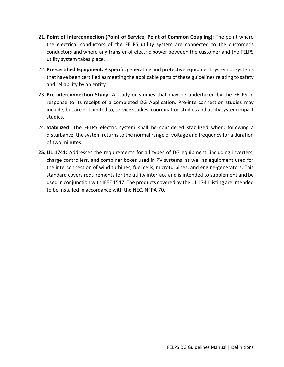- 21. **Point of Interconnection (Point of Service, Point of Common Coupling):** The point where the electrical conductors of the FELPS utility system are connected to the customer's conductors and where any transfer of electric power between the customer and the FELPS utility system takes place.
- 22. **Pre-certified Equipment:** A specific generating and protective equipment system or systems that have been certified as meeting the applicable parts of these guidelines relating to safety and reliability by an entity.
- 23. **Pre-interconnection Study:** A study or studies that may be undertaken by the FELPS in response to its receipt of a completed DG Application. Pre-interconnection studies may include, but are not limited to, service studies, coordination studies and utility system impact studies.
- 24. **Stabilized:** The FELPS electric system shall be considered stabilized when, following a disturbance, the system returns to the normal range of voltage and frequency for a duration of two minutes.
- **25. UL 1741:** Addresses the requirements for all types of DG equipment, including inverters, charge controllers, and combiner boxes used in PV systems, as well as equipment used for the interconnection of wind turbines, fuel cells, microturbines, and engine-generators. This standard covers requirements for the utility interface and is intended to supplement and be used in conjunction with IEEE 1547. The products covered by the UL 1741 listing are intended to be installed in accordance with the NEC, NFPA 70.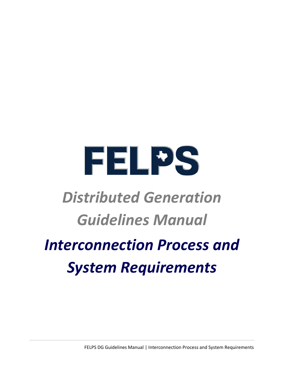

### *Distributed Generation Guidelines Manual*

### *Interconnection Process and System Requirements*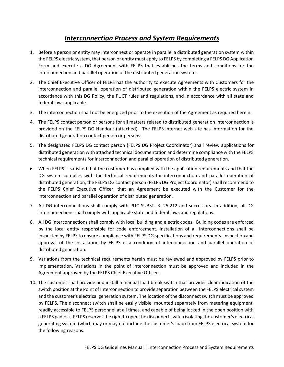#### *Interconnection Process and System Requirements*

- 1. Before a person or entity may interconnect or operate in parallel a distributed generation system within the FELPS electric system, that person or entity must apply to FELPS by completing a FELPS DG Application Form and execute a DG Agreement with FELPS that establishes the terms and conditions for the interconnection and parallel operation of the distributed generation system.
- 2. The Chief Executive Officer of FELPS has the authority to execute Agreements with Customers for the interconnection and parallel operation of distributed generation within the FELPS electric system in accordance with this DG Policy, the PUCT rules and regulations, and in accordance with all state and federal laws applicable.
- 3. The interconnection shall not be energized prior to the execution of the Agreement as required herein.
- 4. The FELPS contact person or persons for all matters related to distributed generation interconnection is provided on the FELPS DG Handout (attached). The FELPS internet web site has information for the distributed generation contact person or persons.
- 5. The designated FELPS DG contact person (FELPS DG Project Coordinator) shall review applications for distributed generation with attached technical documentation and determine compliance with the FELPS technical requirements for interconnection and parallel operation of distributed generation.
- 6. When FELPS is satisfied that the customer has complied with the application requirements and that the DG system complies with the technical requirements for interconnection and parallel operation of distributed generation, the FELPS DG contact person (FELPS DG Project Coordinator) shall recommend to the FELPS Chief Executive Officer, that an Agreement be executed with the Customer for the interconnection and parallel operation of distributed generation.
- 7. All DG interconnections shall comply with PUC SUBST. R. 25.212 and successors. In addition, all DG interconnections shall comply with applicable state and federal laws and regulations.
- 8. All DG interconnections shall comply with local building and electric codes. Building codes are enforced by the local entity responsible for code enforcement. Installation of all interconnections shall be inspected by FELPS to ensure compliance with FELPS DG specifications and requirements. Inspection and approval of the installation by FELPS is a condition of interconnection and parallel operation of distributed generation.
- 9. Variations from the technical requirements herein must be reviewed and approved by FELPS prior to implementation. Variations in the point of interconnection must be approved and included in the Agreement approved by the FELPS Chief Executive Officer.
- 10. The customer shall provide and install a manual load break switch that provides clear indication of the switch position atthe Point of Interconnection to provide separation between the FELPS electrical system and the customer's electrical generation system. The location of the disconnect switch must be approved by FELPS. The disconnect switch shall be easily visible, mounted separately from metering equipment, readily accessible to FELPS personnel at all times, and capable of being locked in the open position with a FELPS padlock. FELPS reserves the right to open the disconnect switch isolating the customer's electrical generating system (which may or may not include the customer's load) from FELPS electrical system for the following reasons: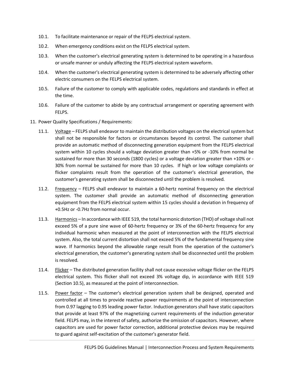- 10.1. To facilitate maintenance or repair of the FELPS electrical system.
- 10.2. When emergency conditions exist on the FELPS electrical system.
- 10.3. When the customer's electrical generating system is determined to be operating in a hazardous or unsafe manner or unduly affecting the FELPS electrical system waveform.
- 10.4. When the customer's electrical generating system is determined to be adversely affecting other electric consumers on the FELPS electrical system.
- 10.5. Failure of the customer to comply with applicable codes, regulations and standards in effect at the time.
- 10.6. Failure of the customer to abide by any contractual arrangement or operating agreement with FELPS.
- 11. Power Quality Specifications / Requirements:
	- 11.1. Voltage FELPS shall endeavor to maintain the distribution voltages on the electrical system but shall not be responsible for factors or circumstances beyond its control. The customer shall provide an automatic method of disconnecting generation equipment from the FELPS electrical system within 10 cycles should a voltage deviation greater than +5% or -10% from normal be sustained for more than 30 seconds (1800 cycles) or a voltage deviation greater than +10% or - 30% from normal be sustained for more than 10 cycles. If high or low voltage complaints or flicker complaints result from the operation of the customer's electrical generation, the customer's generating system shall be disconnected until the problem is resolved.
	- 11.2. Frequency FELPS shall endeavor to maintain a 60-hertz nominal frequency on the electrical system. The customer shall provide an automatic method of disconnecting generation equipment from the FELPS electrical system within 15 cycles should a deviation in frequency of +0.5Hz or -0.7Hz from normal occur.
	- 11.3. Harmonics In accordance with IEEE 519, the total harmonic distortion (THD) of voltage shall not exceed 5% of a pure sine wave of 60-hertz frequency or 3% of the 60-hertz frequency for any individual harmonic when measured at the point of interconnection with the FELPS electrical system. Also, the total current distortion shall not exceed 5% of the fundamental frequency sine wave. If harmonics beyond the allowable range result from the operation of the customer's electrical generation, the customer's generating system shall be disconnected until the problem is resolved.
	- 11.4. Flicker The distributed generation facility shall not cause excessive voltage flicker on the FELPS electrical system. This flicker shall not exceed 3% voltage dip, in accordance with IEEE 519 (Section 10.5), as measured at the point of interconnection.
	- 11.5. Power factor The customer's electrical generation system shall be designed, operated and controlled at all times to provide reactive power requirements at the point of interconnection from 0.97 lagging to 0.95 leading power factor. Induction generators shall have static capacitors that provide at least 97% of the magnetizing current requirements of the induction generator field. FELPS may, in the interest of safety, authorize the omission of capacitors. However, where capacitors are used for power factor correction, additional protective devices may be required to guard against self-excitation of the customer's generator field.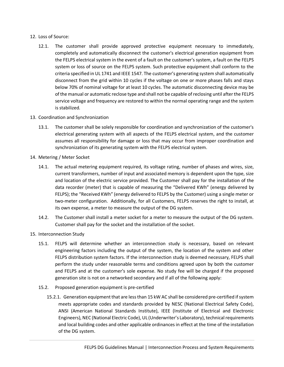#### 12. Loss of Source:

12.1. The customer shall provide approved protective equipment necessary to immediately, completely and automatically disconnect the customer's electrical generation equipment from the FELPS electrical system in the event of a fault on the customer's system, a fault on the FELPS system or loss of source on the FELPS system. Such protective equipment shall conform to the criteria specified in UL 1741 and IEEE 1547. The customer's generating system shall automatically disconnect from the grid within 10 cycles if the voltage on one or more phases falls and stays below 70% of nominal voltage for at least 10 cycles. The automatic disconnecting device may be of the manual or automatic reclose type and shall not be capable of reclosing until after the FELPS service voltage and frequency are restored to within the normal operating range and the system is stabilized.

#### 13. Coordination and Synchronization

- 13.1. The customer shall be solely responsible for coordination and synchronization of the customer's electrical generating system with all aspects of the FELPS electrical system, and the customer assumes all responsibility for damage or loss that may occur from improper coordination and synchronization of its generating system with the FELPS electrical system.
- 14. Metering / Meter Socket
	- 14.1. The actual metering equipment required, its voltage rating, number of phases and wires, size, current transformers, number of input and associated memory is dependent upon the type, size and location of the electric service provided. The Customer shall pay for the installation of the data recorder (meter) that is capable of measuring the "Delivered KWh" (energy delivered by FELPS); the "Received KWh" (energy delivered to FELPS by the Customer) using a single meter or two-meter configuration. Additionally, for all Customers, FELPS reserves the right to install, at its own expense, a meter to measure the output of the DG system.
	- 14.2. The Customer shall install a meter socket for a meter to measure the output of the DG system. Customer shall pay for the socket and the installation of the socket.
- 15. Interconnection Study
	- 15.1. FELPS will determine whether an interconnection study is necessary, based on relevant engineering factors including the output of the system, the location of the system and other FELPS distribution system factors. If the interconnection study is deemed necessary, FELPS shall perform the study under reasonable terms and conditions agreed upon by both the customer and FELPS and at the customer's sole expense. No study fee will be charged if the proposed generation site is not on a networked secondary and if all of the following apply:
	- 15.2. Proposed generation equipment is pre-certified
		- 15.2.1. Generation equipment that are less than 15 kW AC shall be considered pre-certified if system meets appropriate codes and standards provided by NESC (National Electrical Safety Code), ANSI (American National Standards Institute), IEEE (Institute of Electrical and Electronic Engineers), NEC (National Electric Code), UL (Underwriter's Laboratory), technical requirements and local building codes and other applicable ordinances in effect at the time of the installation of the DG system.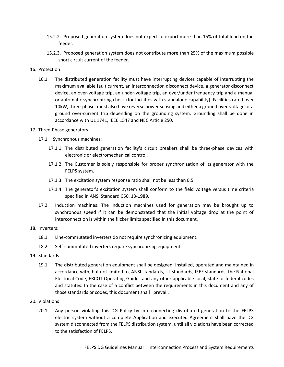- 15.2.2. Proposed generation system does not expect to export more than 15% of total load on the feeder.
- 15.2.3. Proposed generation system does not contribute more than 25% of the maximum possible short circuit current of the feeder.

#### 16. Protection

16.1. The distributed generation facility must have interrupting devices capable of interrupting the maximum available fault current, an interconnection disconnect device, a generator disconnect device, an over-voltage trip, an under-voltage trip, an over/under frequency trip and a manual or automatic synchronizing check (for facilities with standalone capability). Facilities rated over 10kW, three-phase, must also have reverse power sensing and either a ground over-voltage or a ground over-current trip depending on the grounding system. Grounding shall be done in accordance with UL 1741, IEEE 1547 and NEC Article 250.

#### 17. Three-Phase generators

- 17.1. Synchronous machines:
	- 17.1.1. The distributed generation facility's circuit breakers shall be three-phase devices with electronic or electromechanical control.
	- 17.1.2. The Customer is solely responsible for proper synchronization of its generator with the FELPS system.
	- 17.1.3. The excitation system response ratio shall not be less than 0.5.
	- 17.1.4. The generator's excitation system shall conform to the field voltage versus time criteria specified in ANSI Standard C50. 13-1989.
- 17.2. Induction machines: The induction machines used for generation may be brought up to synchronous speed if it can be demonstrated that the initial voltage drop at the point of interconnection is within the flicker limits specified in this document.

#### 18. Inverters:

- 18.1. Line-commutated inverters do not require synchronizing equipment.
- 18.2. Self-commutated inverters require synchronizing equipment.
- 19. Standards
	- 19.1. The distributed generation equipment shall be designed, installed, operated and maintained in accordance with, but not limited to, ANSI standards, UL standards, IEEE standards, the National Electrical Code, ERCOT Operating Guides and any other applicable local, state or federal codes and statutes. In the case of a conflict between the requirements in this document and any of those standards or codes, this document shall prevail.

#### 20. Violations

20.1. Any person violating this DG Policy by interconnecting distributed generation to the FELPS electric system without a complete Application and executed Agreement shall have the DG system disconnected from the FELPS distribution system, until all violations have been corrected to the satisfaction of FELPS.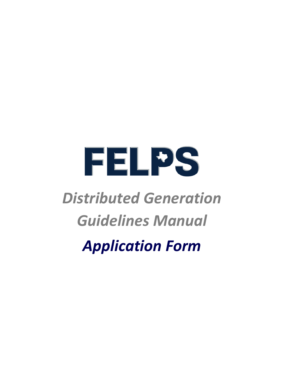

### *Distributed Generation Guidelines Manual*

*Application Form*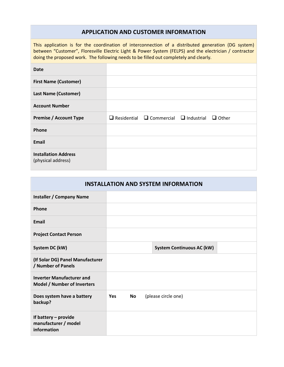#### **APPLICATION AND CUSTOMER INFORMATION**

This application is for the coordination of interconnection of a distributed generation (DG system) between "Customer", Floresville Electric Light & Power System (FELPS) and the electrician / contractor doing the proposed work. The following needs to be filled out completely and clearly.

| Date                          |                                                                     |  |
|-------------------------------|---------------------------------------------------------------------|--|
| <b>First Name (Customer)</b>  |                                                                     |  |
| <b>Last Name (Customer)</b>   |                                                                     |  |
| <b>Account Number</b>         |                                                                     |  |
| <b>Premise / Account Type</b> | $\Box$ Residential $\Box$ Commercial $\Box$ Industrial $\Box$ Other |  |
| Phone                         |                                                                     |  |
| <b>Email</b>                  |                                                                     |  |
| <b>Installation Address</b>   |                                                                     |  |

| <b>INSTALLATION AND SYSTEM INFORMATION</b>                      |            |           |                                  |  |
|-----------------------------------------------------------------|------------|-----------|----------------------------------|--|
| <b>Installer / Company Name</b>                                 |            |           |                                  |  |
| Phone                                                           |            |           |                                  |  |
| <b>Email</b>                                                    |            |           |                                  |  |
| <b>Project Contact Person</b>                                   |            |           |                                  |  |
| System DC (kW)                                                  |            |           | <b>System Continuous AC (kW)</b> |  |
| (If Solar DG) Panel Manufacturer<br>/ Number of Panels          |            |           |                                  |  |
| <b>Inverter Manufacturer and</b><br>Model / Number of Inverters |            |           |                                  |  |
| Does system have a battery<br>backup?                           | <b>Yes</b> | <b>No</b> | (please circle one)              |  |
| If battery - provide<br>manufacturer / model<br>information     |            |           |                                  |  |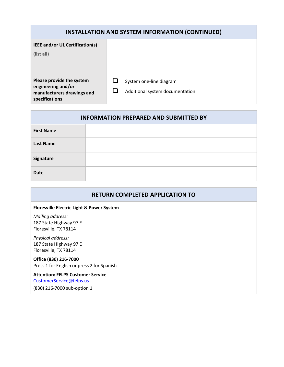| <b>INSTALLATION AND SYSTEM INFORMATION (CONTINUED)</b>                                          |                                                            |  |
|-------------------------------------------------------------------------------------------------|------------------------------------------------------------|--|
| <b>IEEE and/or UL Certification(s)</b><br>(list all)                                            |                                                            |  |
| Please provide the system<br>engineering and/or<br>manufacturers drawings and<br>specifications | System one-line diagram<br>Additional system documentation |  |

| <b>INFORMATION PREPARED AND SUBMITTED BY</b> |  |  |
|----------------------------------------------|--|--|
| <b>First Name</b>                            |  |  |
| <b>Last Name</b>                             |  |  |
| Signature                                    |  |  |
| <b>Date</b>                                  |  |  |

#### **RETURN COMPLETED APPLICATION TO**

#### **Floresville Electric Light & Power System**

*Mailing address:* 187 State Highway 97 E Floresville, TX 78114

*Physical address:* 187 State Highway 97 E Floresville, TX 78114

#### **Office (830) 216-7000**

Press 1 for English or press 2 for Spanish

**Attention: FELPS Customer Service** [CustomerService@felps.us](mailto:CustomerService@felps.us)

(830) 216-7000 sub-option 1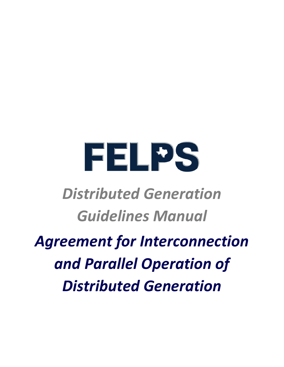# FELPS

### *Distributed Generation Guidelines Manual*

### *Agreement for Interconnection and Parallel Operation of Distributed Generation*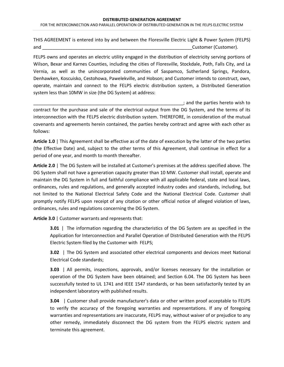#### **DISTRIBUTED GENERATION AGREEMENT** FOR THE INTERCONNECTION AND PARALLEL OPERATION OF DISTRIBUTED GENERATION IN THE FELPS ELECTRIC SYSTEM

THIS AGREEMENT is entered into by and between the Floresville Electric Light & Power System (FELPS) and and the contract of the contract of the contract of the contract of the contract of the contract of the contract of the contract of the contract of the contract of the contract of the contract of the contract of the co

FELPS owns and operates an electric utility engaged in the distribution of electricity serving portions of Wilson, Bexar and Karnes Counties, including the cities of Floresville, Stockdale, Poth, Falls City, and La Vernia, as well as the unincorporated communities of Saspamco, Sutherland Springs, Pandora, Denhawken, Koscuisko, Cestohowa, Pawelekville, and Hobson; and Customer intends to construct, own, operate, maintain and connect to the FELPS electric distribution system, a Distributed Generation system less than 10MW in size (the DG System) at address:

\_\_\_\_\_\_\_\_\_\_\_\_\_\_\_\_\_\_\_\_\_\_\_\_\_\_\_\_\_\_\_\_\_\_\_\_\_\_\_\_\_\_\_\_\_\_\_\_\_\_\_\_\_\_\_\_\_\_\_; and the parties hereto wish to contract for the purchase and sale of the electrical output from the DG System, and the terms of its interconnection with the FELPS electric distribution system. THEREFORE, in consideration of the mutual covenants and agreements herein contained, the parties hereby contract and agree with each other as follows:

**Article 1.0** | This Agreement shall be effective as of the date of execution by the latter of the two parties (the Effective Date) and, subject to the other terms of this Agreement, shall continue in effect for a period of one year, and month to month thereafter.

**Article 2.0** | The DG System will be installed at Customer's premises at the address specified above. The DG System shall not have a generation capacity greater than 10 MW. Customer shall install, operate and maintain the DG System in full and faithful compliance with all applicable federal, state and local laws, ordinances, rules and regulations, and generally accepted industry codes and standards, including, but not limited to the National Electrical Safety Code and the National Electrical Code. Customer shall promptly notify FELPS upon receipt of any citation or other official notice of alleged violation of laws, ordinances, rules and regulations concerning the DG System.

**Article 3.0** | Customer warrants and represents that:

**3.01** | The information regarding the characteristics of the DG System are as specified in the Application for Interconnection and Parallel Operation of Distributed Generation with the FELPS Electric System filed by the Customer with FELPS;

**3.02** | The DG System and associated other electrical components and devices meet National Electrical Code standards;

**3.03** | All permits, inspections, approvals, and/or licenses necessary for the installation or operation of the DG System have been obtained; and Section 6.04. The DG System has been successfully tested to UL 1741 and IEEE 1547 standards, or has been satisfactorily tested by an independent laboratory with published results.

**3.04** | Customer shall provide manufacturer's data or other written proof acceptable to FELPS to verify the accuracy of the foregoing warranties and representations. If any of foregoing warranties and representations are inaccurate, FELPS may, without waiver of or prejudice to any other remedy, immediately disconnect the DG system from the FELPS electric system and terminate this agreement.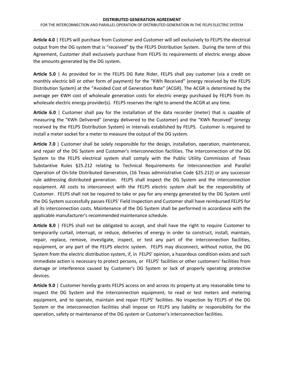**Article 4.0** | FELPS will purchase from Customer and Customer will sell exclusively to FELPS the electrical output from the DG system that is "received" by the FELPS Distribution System. During the term of this Agreement, Customer shall exclusively purchase from FELPS its requirements of electric energy above the amounts generated by the DG system.

**Article 5.0** | As provided for in the FELPS DG Rate Rider, FELPS shall pay customer (via a credit on monthly electric bill or other form of payment) for the "KWh Received" (energy received by the FELPS Distribution System) at the "Avoided Cost of Generation Rate" (ACGR). The ACGR is determined by the average per KWH cost of wholesale generation costs for electric energy purchased by FELPS from its wholesale electric energy provider(s). FELPS reserves the right to amend the ACGR at any time.

**Article 6.0** | Customer shall pay for the installation of the data recorder (meter) that is capable of measuring the "KWh Delivered" (energy delivered to the Customer) and the "KWh Received" (energy received by the FELPS Distribution System) in intervals established by FELPS. Customer is required to install a meter socket for a meter to measure the output of the DG system.

**Article 7.0** | Customer shall be solely responsible for the design, installation, operation, maintenance, and repair of the DG System and Customer's interconnection facilities. The interconnection of the DG System to the FELPS electrical system shall comply with the Public Utility Commission of Texas Substantive Rules §25.212 relating to Technical Requirements for Interconnection and Parallel Operation of On-Site Distributed Generation, (16 Texas administrative Code §25.212) or any successor rule addressing distributed generation. FELPS shall inspect the DG System and the interconnection equipment. All costs to interconnect with the FELPS electric system shall be the responsibility of Customer. FELPS shall not be required to take or pay for any energy generated by the DG System until the DG System successfully passes FELPS' Field Inspection and Customer shall have reimbursed FELPS for all its interconnection costs. Maintenance of the DG System shall be performed in accordance with the applicable manufacturer's recommended maintenance schedule.

**Article 8.0** | FELPS shall not be obligated to accept, and shall have the right to require Customer to temporarily curtail, interrupt, or reduce, deliveries of energy in order to construct, install, maintain, repair, replace, remove, investigate, inspect, or test any part of the interconnection facilities, equipment, or any part of the FELPS electric system. FELPS may disconnect, without notice, the DG System from the electric distribution system, if, in FELPS' opinion, a hazardous condition exists and such immediate action is necessary to protect persons, or FELPS' facilities or other customers' facilities from damage or interference caused by Customer's DG System or lack of properly operating protective devices.

**Article 9.0** | Customer hereby grants FELPS access on and across its property at any reasonable time to inspect the DG System and the interconnection equipment, to read or test meters and metering equipment, and to operate, maintain and repair FELPS' facilities. No inspection by FELPS of the DG System or the interconnection facilities shall impose on FELPS any liability or responsibility for the operation, safety or maintenance of the DG system or Customer's interconnection facilities.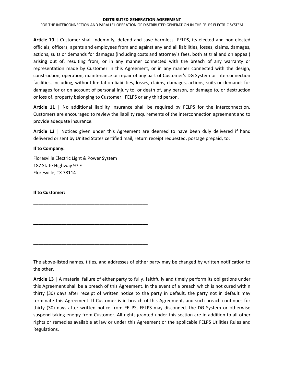**Article 10** | Customer shall indemnify, defend and save harmless FELPS, its elected and non-elected officials, officers, agents and employees from and against any and all liabilities, losses, claims, damages, actions, suits or demands for damages (including costs and attorney's fees, both at trial and on appeal) arising out of, resulting from, or in any manner connected with the breach of any warranty or representation made by Customer in this Agreement, or in any manner connected with the design, construction, operation, maintenance or repair of any part of Customer's DG System or interconnection facilities, including, without limitation liabilities, losses, claims, damages, actions, suits or demands for damages for or on account of personal injury to, or death of, any person, or damage to, or destruction or loss of, property belonging to Customer, FELPS or any third person.

**Article 11** | No additional liability insurance shall be required by FELPS for the interconnection. Customers are encouraged to review the liability requirements of the interconnection agreement and to provide adequate insurance.

**Article 12** | Notices given under this Agreement are deemed to have been duly delivered if hand delivered or sent by United States certified mail, return receipt requested, postage prepaid, to:

#### **If to Company:**

Floresville Electric Light & Power System 187 State Highway 97 E Floresville, TX 78114

**\_\_\_\_\_\_\_\_\_\_\_\_\_\_\_\_\_\_\_\_\_\_\_\_\_\_\_\_\_\_\_\_\_\_\_\_\_\_\_\_\_\_\_\_\_**

**\_\_\_\_\_\_\_\_\_\_\_\_\_\_\_\_\_\_\_\_\_\_\_\_\_\_\_\_\_\_\_\_\_\_\_\_\_\_\_\_\_\_\_\_\_**

**\_\_\_\_\_\_\_\_\_\_\_\_\_\_\_\_\_\_\_\_\_\_\_\_\_\_\_\_\_\_\_\_\_\_\_\_\_\_\_\_\_\_\_\_\_**

#### **If to Customer:**

The above-listed names, titles, and addresses of either party may be changed by written notification to the other.

**Article 13** | A material failure of either party to fully, faithfully and timely perform its obligations under this Agreement shall be a breach of this Agreement. In the event of a breach which is not cured within thirty (30) days after receipt of written notice to the party in default, the party not in default may terminate this Agreement. **If** Customer is in breach of this Agreement, and such breach continues for thirty (30) days after written notice from FELPS, FELPS may disconnect the DG System or otherwise suspend taking energy from Customer. All rights granted under this section are in addition to all other rights or remedies available at law or under this Agreement or the applicable FELPS Utilities Rules and Regulations.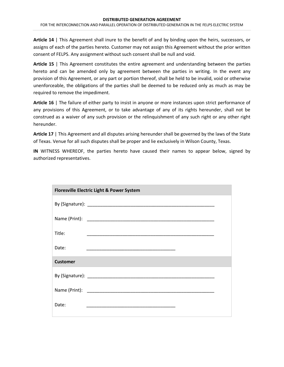**Article 14** | This Agreement shall inure to the benefit of and by binding upon the heirs, successors, or assigns of each of the parties hereto. Customer may not assign this Agreement without the prior written consent of FELPS. Any assignment without such consent shall be null and void.

**Article 15** | This Agreement constitutes the entire agreement and understanding between the parties hereto and can be amended only by agreement between the parties in writing. In the event any provision of this Agreement, or any part or portion thereof, shall be held to be invalid, void or otherwise unenforceable, the obligations of the parties shall be deemed to be reduced only as much as may be required to remove the impediment.

**Article 16** | The failure of either party to insist in anyone or more instances upon strict performance of any provisions of this Agreement, or to take advantage of any of its rights hereunder, shall not be construed as a waiver of any such provision or the relinquishment of any such right or any other right hereunder.

**Article 17** | This Agreement and all disputes arising hereunder shall be governed by the laws of the State of Texas. Venue for all such disputes shall be proper and lie exclusively in Wilson County, Texas.

**IN** WITNESS WHEREOF, the parties hereto have caused their names to appear below, signed by authorized representatives.

| <b>Floresville Electric Light &amp; Power System</b>                                                                         |  |
|------------------------------------------------------------------------------------------------------------------------------|--|
|                                                                                                                              |  |
|                                                                                                                              |  |
| Title:                                                                                                                       |  |
| Date:<br><u> 1989 - Johann John Stone, markin film eta eta eta erromania eta erromania eta erromania eta erromania eta e</u> |  |
| <b>Customer</b>                                                                                                              |  |
|                                                                                                                              |  |
|                                                                                                                              |  |
| Date:<br>the control of the control of the control of the control of the control of the control of                           |  |
|                                                                                                                              |  |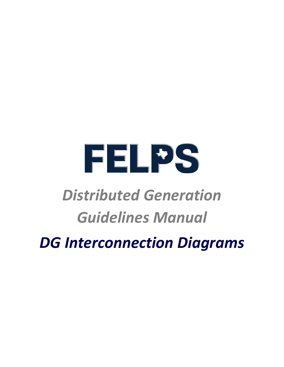

### *Distributed Generation Guidelines Manual*

*DG Interconnection Diagrams*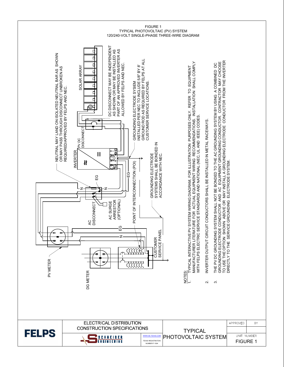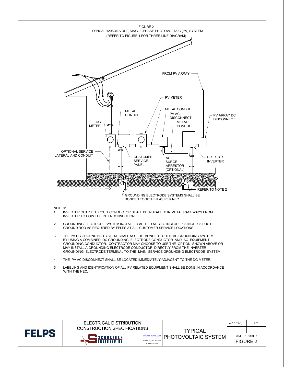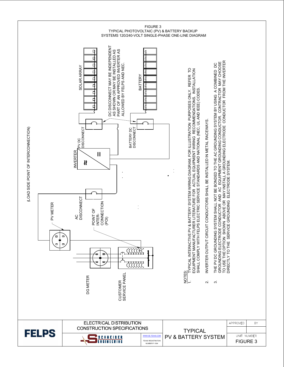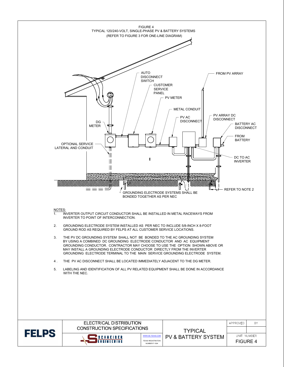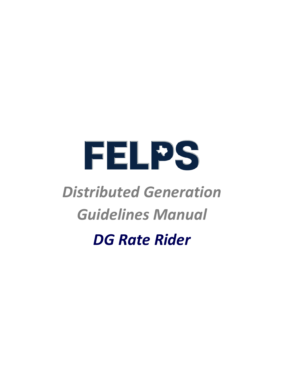

### *Distributed Generation Guidelines Manual*

*DG Rate Rider*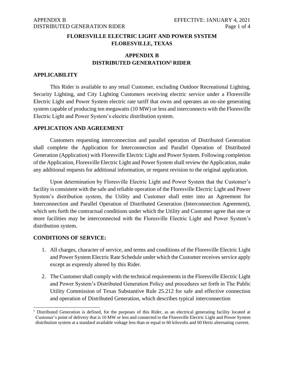#### **FLORESVILLE ELECTRIC LIGHT AND POWER SYSTEM FLORESVILLE, TEXAS**

#### **APPENDIX B DISTRIBUTED GENERATIO[N](#page-29-0)<sup>1</sup> RIDER**

#### **APPLICABILITY**

This Rider is available to any retail Customer, excluding Outdoor Recreational Lighting, Security Lighting, and City Lighting Customers receiving electric service under a Floresville Electric Light and Power System electric rate tariff that owns and operates an on-site generating system capable of producing ten megawatts (10 MW) or less and interconnects with the Floresville Electric Light and Power System's electric distribution system.

#### **APPLICATION AND AGREEMENT**

Customers requesting interconnection and parallel operation of Distributed Generation shall complete the Application for Interconnection and Parallel Operation of Distributed Generation (Application) with Floresville Electric Light and Power System. Following completion of the Application, Floresville Electric Light and Power System shall review the Application, make any additional requests for additional information, or request revision to the original application.

Upon determination by Floresville Electric Light and Power System that the Customer's facility is consistent with the safe and reliable operation of the Floresville Electric Light and Power System's distribution system, the Utility and Customer shall enter into an Agreement for Interconnection and Parallel Operation of Distributed Generation (Interconnection Agreement), which sets forth the contractual conditions under which the Utility and Customer agree that one or more facilities may be interconnected with the Floresville Electric Light and Power System's distribution system.

#### **CONDITIONS OF SERVICE:**

- 1. All charges, character of service, and terms and conditions of the Floresville Electric Light and Power System Electric Rate Schedule under which the Customer receives service apply except as expressly altered by this Rider.
- 2. The Customer shall comply with the technical requirements in the Floresville Electric Light and Power System's Distributed Generation Policy and procedures set forth in The Public Utility Commission of Texas Substantive Rule 25.212 for safe and effective connection and operation of Distributed Generation, which describes typical interconnection

<span id="page-29-0"></span><sup>1</sup> Distributed Generation is defined, for the purposes of this Rider, as an electrical generating facility located at Customer's point of delivery that is 10 MW or less and connected to the Floresville Electric Light and Power System distribution system at a standard available voltage less than or equal to 60 kilovolts and 60 Hertz alternating current.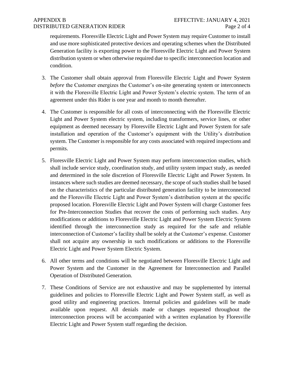#### APPENDIX B DISTRIBUTED GENERATION RIDER

requirements. Floresville Electric Light and Power System may require Customer to install and use more sophisticated protective devices and operating schemes when the Distributed Generation facility is exporting power to the Floresville Electric Light and Power System distribution system or when otherwise required due to specific interconnection location and condition.

- 3. The Customer shall obtain approval from Floresville Electric Light and Power System *before* the Customer energizes the Customer's on-site generating system or interconnects it with the Floresville Electric Light and Power System's electric system. The term of an agreement under this Rider is one year and month to month thereafter.
- 4. The Customer is responsible for all costs of interconnecting with the Floresville Electric Light and Power System electric system, including transformers, service lines, or other equipment as deemed necessary by Floresville Electric Light and Power System for safe installation and operation of the Customer's equipment with the Utility's distribution system. The Customer is responsible for any costs associated with required inspections and permits.
- 5. Floresville Electric Light and Power System may perform interconnection studies, which shall include service study, coordination study, and utility system impact study, as needed and determined in the sole discretion of Floresville Electric Light and Power System. In instances where such studies are deemed necessary, the scope of such studies shall be based on the characteristics of the particular distributed generation facility to be interconnected and the Floresville Electric Light and Power System's distribution system at the specific proposed location. Floresville Electric Light and Power System will charge Customer fees for Pre-Interconnection Studies that recover the costs of performing such studies. Any modifications or additions to Floresville Electric Light and Power System Electric System identified through the interconnection study as required for the safe and reliable interconnection of Customer's facility shall be solely at the Customer's expense. Customer shall not acquire any ownership in such modifications or additions to the Floresville Electric Light and Power System Electric System.
- 6. All other terms and conditions will be negotiated between Floresville Electric Light and Power System and the Customer in the Agreement for Interconnection and Parallel Operation of Distributed Generation.
- 7. These Conditions of Service are not exhaustive and may be supplemented by internal guidelines and policies to Floresville Electric Light and Power System staff, as well as good utility and engineering practices. Internal policies and guidelines will be made available upon request. All denials made or changes requested throughout the interconnection process will be accompanied with a written explanation by Floresville Electric Light and Power System staff regarding the decision.